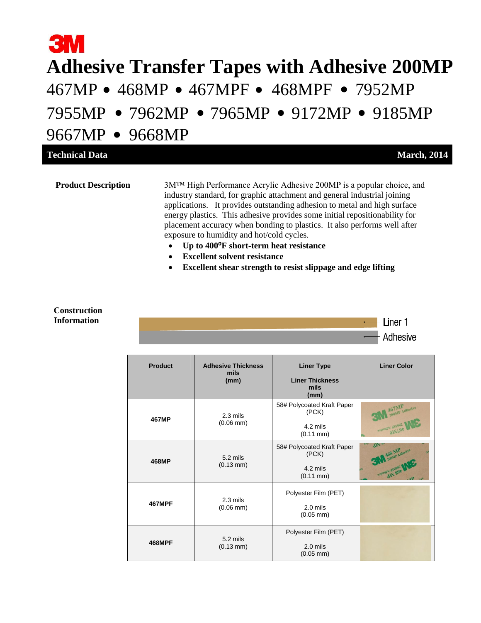# **3M Adhesive Transfer Tapes with Adhesive 200MP** 467MP • 468MP • 467MPF • 468MPF • 7952MP 7955MP • 7962MP • 7965MP • 9172MP • 9185MP 9667MP • 9668MP

| <b>Technical Data</b>      | <b>March, 2014</b>                                                                                                                                                                                                                                                                                                                                                                                                                                                                                                                                                                                             |
|----------------------------|----------------------------------------------------------------------------------------------------------------------------------------------------------------------------------------------------------------------------------------------------------------------------------------------------------------------------------------------------------------------------------------------------------------------------------------------------------------------------------------------------------------------------------------------------------------------------------------------------------------|
| <b>Product Description</b> | 3M <sup>TM</sup> High Performance Acrylic Adhesive 200MP is a popular choice, and<br>industry standard, for graphic attachment and general industrial joining<br>applications. It provides outstanding adhesion to metal and high surface<br>energy plastics. This adhesive provides some initial repositionability for<br>placement accuracy when bonding to plastics. It also performs well after<br>exposure to humidity and hot/cold cycles.<br>Up to 400°F short-term heat resistance<br><b>Excellent solvent resistance</b><br>$\bullet$<br>Excellent shear strength to resist slippage and edge lifting |

#### **Construction Information**

| <b>Product</b> | <b>Adhesive Thickness</b><br>mils | <b>Liner Type</b>                      | <b>Liner Color</b>                    |
|----------------|-----------------------------------|----------------------------------------|---------------------------------------|
|                | (mm)                              | <b>Liner Thickness</b><br>mils<br>(mm) |                                       |
| 467MP          | 2.3 mils                          | 58# Polycoated Kraft Paper<br>(PCK)    | 467MP Adhesive                        |
|                | $(0.06$ mm $)$                    | 4.2 mils<br>$(0.11 \text{ mm})$        | <b>TOOPIE POINTERS</b><br>divist      |
|                | 5.2 mils                          | 58# Polycoated Kraft Paper<br>(PCK)    | $\overline{M}$<br>468 MP Adhesive     |
| 468MP          | $(0.13 \text{ mm})$               | 4.2 mils<br>$(0.11 \text{ mm})$        | <b>PATE PORCHAE</b><br><b>JIN SON</b> |
|                | 2.3 mils                          | Polyester Film (PET)                   |                                       |
| <b>467MPF</b>  | $(0.06$ mm $)$                    | $2.0$ mils<br>$(0.05$ mm)              |                                       |
| <b>468MPF</b>  |                                   | Polyester Film (PET)                   |                                       |
|                | 5.2 mils<br>$(0.13 \text{ mm})$   | $2.0$ mils<br>$(0.05$ mm $)$           |                                       |

Liner 1 Adhesive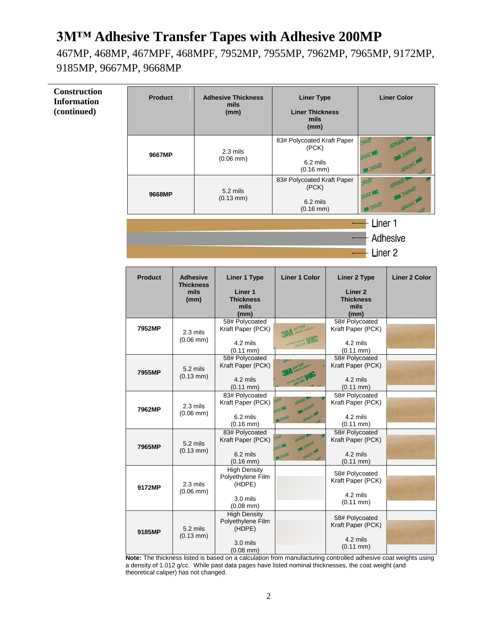467MP, 468MP, 467MPF, 468MPF, 7952MP, 7955MP, 7962MP, 7965MP, 9172MP, 9185MP, 9667MP, 9668MP

| <b>Construction</b><br><b>Information</b><br>(continued) | <b>Product</b> |                                                     | <b>Adhesive Thickness</b><br>mils<br>(mm)                                        | <b>Liner Type</b><br><b>Liner Thickness</b><br>mils<br>(mm)                                                     |                                                                               |                                              | <b>Liner Color</b>                                      |
|----------------------------------------------------------|----------------|-----------------------------------------------------|----------------------------------------------------------------------------------|-----------------------------------------------------------------------------------------------------------------|-------------------------------------------------------------------------------|----------------------------------------------|---------------------------------------------------------|
|                                                          | 9667MP         |                                                     | 2.3 mils<br>$(0.06$ mm $)$                                                       | 83# Polycoated Kraft Paper<br>(PCK)<br>6.2 mils<br>$(0.16 \text{ mm})$                                          |                                                                               | 200MP<br><b>TIVOOT NE</b><br><b>3M 200MP</b> | <b>AINOOZ MA</b><br>SM 200MP<br>atvicoz wa              |
|                                                          | 9668MP         |                                                     | 5.2 mils<br>$(0.13 \text{ mm})$                                                  | 83# Polycoated Kraft Paper<br>(PCK)<br>6.2 mils<br>$(0.16$ mm $)$                                               |                                                                               | 200MP<br><b>UNOOT NE</b><br>M 200MP          | <b>AINIOOZ M</b><br><b>3M</b> 200MP<br><b>SINDOE ME</b> |
|                                                          |                |                                                     |                                                                                  |                                                                                                                 |                                                                               | Liner <sub>1</sub><br>Liner <sub>2</sub>     | Adhesive                                                |
|                                                          | <b>Product</b> | <b>Adhesive</b><br><b>Thickness</b><br>mils<br>(mm) | <b>Liner 1 Type</b><br>Liner 1<br><b>Thickness</b><br>mils<br>(mm)               | <b>Liner 1 Color</b>                                                                                            | <b>Liner 2 Type</b><br>Liner <sub>2</sub><br><b>Thickness</b><br>mils<br>(mm) |                                              | <b>Liner 2 Color</b>                                    |
|                                                          | 7952MP         | 2.3 mils<br>$(0.06$ mm $)$                          | 58# Polycoated<br>Kraft Paper (PCK)<br>4.2 mils<br>$(0.11 \text{ mm})$           | 467MP Adhesive                                                                                                  | 58# Polycoated<br>Kraft Paper (PCK)<br>4.2 mils<br>$(0.11 \text{ mm})$        |                                              |                                                         |
|                                                          | 7955MP         | 5.2 mils<br>$(0.13 \, \text{mm})$                   | 58# Polycoated<br>Kraft Paper (PCK)<br>4.2 mils<br>$(0.11 \text{ mm})$           | $\eta_{\mathcal{A}}$                                                                                            | 58# Polycoated<br>Kraft Paper (PCK)<br>4.2 mils<br>$(0.11$ mm $)$             |                                              |                                                         |
|                                                          | 7962MP         | 2.3 mils<br>$(0.06$ mm $)$                          | 83# Polycoated<br>Kraft Paper (PCK)<br>6.2 mils<br>$(0.16 \, \text{mm})$         | <b>MP</b><br><b>AINIOOZ</b><br><b>3M</b> 200MP<br><b><i>INDOZ NE</i></b><br><b>AINDOC ME</b><br><b>3M 200MP</b> | 58# Polycoated<br>Kraft Paper (PCK)<br>4.2 mils<br>$(0.11 \text{ mm})$        |                                              |                                                         |
|                                                          | 7965MP         | 5.2 mils<br>$(0.13 \, \text{mm})$                   | 83# Polycoated<br>Kraft Paper (PCK)<br>6.2 mils<br>$(0.16$ mm $)$                | 300 <sub>b</sub><br>9h <sub>2</sub><br><b>SMA</b> 200MP<br>UNIONE WE<br>alviolic we<br><b>3M 200MP</b>          | 58# Polycoated<br>Kraft Paper (PCK)<br>4.2 mils<br>$(0.11$ mm $)$             |                                              |                                                         |
|                                                          | 9172MP         | 2.3 mils<br>$(0.06$ mm $)$                          | <b>High Density</b><br>Polyethylene Film<br>(HDPE)<br>3.0 mils<br>$(0.08$ mm $)$ |                                                                                                                 | 58# Polycoated<br>Kraft Paper (PCK)<br>4.2 mils<br>$(0.11 \, \text{mm})$      |                                              |                                                         |
|                                                          | 9185MP         | 5.2 mils<br>$(0.13 \, \text{mm})$                   | <b>High Density</b><br>Polyethylene Film<br>(HDPE)<br>3.0 mils<br>$(0.08$ mm $)$ |                                                                                                                 | 58# Polycoated<br>Kraft Paper (PCK)<br>4.2 mils<br>$(0.11$ mm $)$             |                                              |                                                         |

**Note:** The thickness listed is based on a calculation from manufacturing controlled adhesive coat weights using a density of 1.012 g/cc. While past data pages have listed nominal thicknesses, the coat weight (and theoretical caliper) has not changed.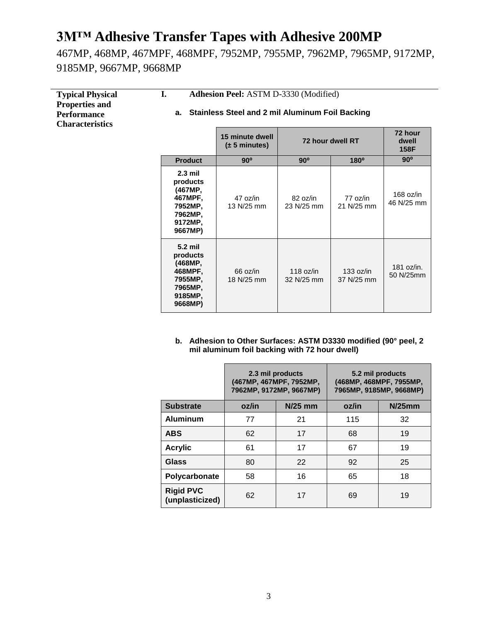467MP, 468MP, 467MPF, 468MPF, 7952MP, 7955MP, 7962MP, 7965MP, 9172MP, 9185MP, 9667MP, 9668MP

| <b>Typical Physical</b><br><b>Properties and</b><br><b>Performance</b><br><b>Characteristics</b> | I.<br>Adhesion Peel: ASTM D-3330 (Modified)<br>a. Stainless Steel and 2 mil Aluminum Foil Backing |                                              |                           |                         |                           |
|--------------------------------------------------------------------------------------------------|---------------------------------------------------------------------------------------------------|----------------------------------------------|---------------------------|-------------------------|---------------------------|
|                                                                                                  |                                                                                                   | 15 minute dwell<br>$(\pm 5 \text{ minutes})$ |                           | 72 hour dwell RT        | 72 hour<br>dwell<br>158F  |
|                                                                                                  | <b>Product</b>                                                                                    | $90^\circ$                                   | $90^\circ$                | $180^\circ$             | $90^\circ$                |
|                                                                                                  | $2.3$ mil<br>products<br>(467MP,<br>467MPF,<br>7952MP,<br>7962MP,<br>9172MP,<br>9667MP)           | 47 oz/in<br>13 N/25 mm                       | 82 oz/in<br>23 N/25 mm    | 77 oz/in<br>21 N/25 mm  | $168$ oz/in<br>46 N/25 mm |
|                                                                                                  | 5.2 mil<br>products<br>(468MP,<br>468MPF,<br>7955MP,<br>7965MP,<br>9185MP,<br>9668MP)             | 66 oz/in<br>18 N/25 mm                       | 118 $oz/in$<br>32 N/25 mm | 133 oz/in<br>37 N/25 mm | 181 oz/in.<br>50 N/25mm   |

**b. Adhesion to Other Surfaces: ASTM D3330 modified (90° peel, 2 mil aluminum foil backing with 72 hour dwell)**

|                                     | 2.3 mil products<br>(467MP, 467MPF, 7952MP,<br>7962MP, 9172MP, 9667MP) |                |       | 5.2 mil products<br>(468MP, 468MPF, 7955MP,<br>7965MP, 9185MP, 9668MP) |
|-------------------------------------|------------------------------------------------------------------------|----------------|-------|------------------------------------------------------------------------|
| <b>Substrate</b>                    | oz/in                                                                  | <b>N/25 mm</b> | oz/in | $N/25$ mm                                                              |
| <b>Aluminum</b>                     | 77                                                                     | 21             | 115   | 32                                                                     |
| <b>ABS</b>                          | 62                                                                     | 17             | 68    | 19                                                                     |
| <b>Acrylic</b>                      | 61                                                                     | 17             | 67    | 19                                                                     |
| Glass                               | 80                                                                     | 22             | 92    | 25                                                                     |
| Polycarbonate                       | 58                                                                     | 16             | 65    | 18                                                                     |
| <b>Rigid PVC</b><br>(unplasticized) | 62                                                                     | 17             | 69    | 19                                                                     |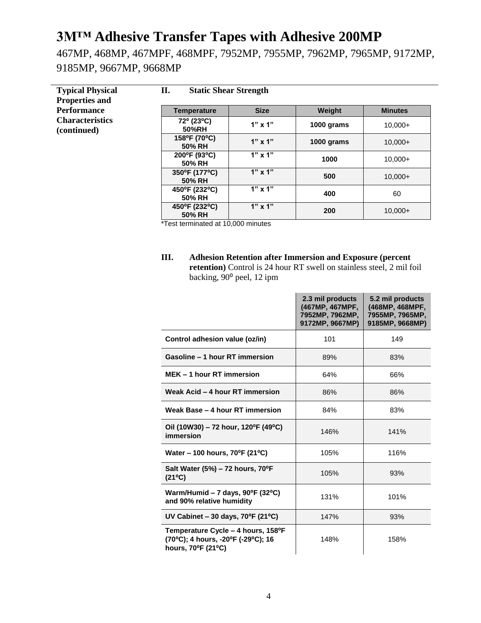467MP, 468MP, 467MPF, 468MPF, 7952MP, 7955MP, 7962MP, 7965MP, 9172MP, 9185MP, 9667MP, 9668MP

| <b>Typical Physical</b><br><b>Properties and</b> | II.<br><b>Static Shear Strength</b> |                |            |                |
|--------------------------------------------------|-------------------------------------|----------------|------------|----------------|
| <b>Performance</b>                               | <b>Temperature</b>                  | <b>Size</b>    | Weight     | <b>Minutes</b> |
| <b>Characteristics</b><br>(continued)            | 72° (23°C)<br>50%RH                 | $1"$ x $1"$    | 1000 grams | $10.000+$      |
|                                                  | 158°F (70°C)<br>50% RH              | $1"$ x $1"$    | 1000 grams | $10,000+$      |
|                                                  | 200°F (93°C)<br>50% RH              | $1" \times 1"$ | 1000       | $10.000+$      |
|                                                  | 350°F (177°C)<br>50% RH             | $1" \times 1"$ | 500        | $10.000+$      |
|                                                  | 450°F (232°C)<br>50% RH             | $1" \times 1"$ | 400        | 60             |
|                                                  | 450°F (232°C)<br>50% RH             | $1" \times 1"$ | 200        | $10,000+$      |

\*Test terminated at 10,000 minutes

**III. Adhesion Retention after Immersion and Exposure (percent retention)** Control is 24 hour RT swell on stainless steel, 2 mil foil backing, 90<sup>°</sup> peel, 12 ipm

|                                                                                                | 2.3 mil products<br>(467MP, 467MPF,<br>7952MP, 7962MP,<br>9172MP, 9667MP) | 5.2 mil products<br>(468MP, 468MPF,<br>7955MP, 7965MP,<br>9185MP, 9668MP) |
|------------------------------------------------------------------------------------------------|---------------------------------------------------------------------------|---------------------------------------------------------------------------|
| Control adhesion value (oz/in)                                                                 | 101                                                                       | 149                                                                       |
| Gasoline - 1 hour RT immersion                                                                 | 89%                                                                       | 83%                                                                       |
| MEK - 1 hour RT immersion                                                                      | 64%                                                                       | 66%                                                                       |
| Weak Acid - 4 hour RT immersion                                                                | 86%                                                                       | 86%                                                                       |
| Weak Base - 4 hour RT immersion                                                                | 84%                                                                       | 83%                                                                       |
| Oil (10W30) – 72 hour, 120°F (49°C)<br>immersion                                               | 146%                                                                      | 141%                                                                      |
| Water - 100 hours, 70°F (21°C)                                                                 | 105%                                                                      | 116%                                                                      |
| Salt Water (5%) - 72 hours, 70°F<br>$(21^{\circ}C)$                                            | 105%                                                                      | 93%                                                                       |
| Warm/Humid – 7 days, $90^{\circ}F(32^{\circ}C)$<br>and 90% relative humidity                   | 131%                                                                      | 101%                                                                      |
| UV Cabinet $-30$ days, 70°F (21°C)                                                             | 147%                                                                      | 93%                                                                       |
| Temperature Cycle - 4 hours, 158°F<br>(70°C); 4 hours, -20°F (-29°C); 16<br>hours, 70°F (21°C) | 148%                                                                      | 158%                                                                      |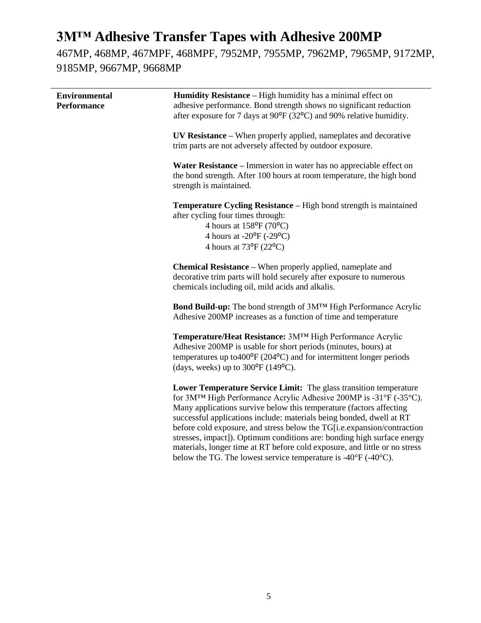467MP, 468MP, 467MPF, 468MPF, 7952MP, 7955MP, 7962MP, 7965MP, 9172MP, 9185MP, 9667MP, 9668MP

| <b>Environmental</b><br><b>Performance</b> | Humidity Resistance - High humidity has a minimal effect on<br>adhesive performance. Bond strength shows no significant reduction<br>after exposure for 7 days at 90°F (32°C) and 90% relative humidity.                                                                                                                                                                                                                                                                                                                                                                                                     |
|--------------------------------------------|--------------------------------------------------------------------------------------------------------------------------------------------------------------------------------------------------------------------------------------------------------------------------------------------------------------------------------------------------------------------------------------------------------------------------------------------------------------------------------------------------------------------------------------------------------------------------------------------------------------|
|                                            | UV Resistance - When properly applied, nameplates and decorative<br>trim parts are not adversely affected by outdoor exposure.                                                                                                                                                                                                                                                                                                                                                                                                                                                                               |
|                                            | Water Resistance – Immersion in water has no appreciable effect on<br>the bond strength. After 100 hours at room temperature, the high bond<br>strength is maintained.                                                                                                                                                                                                                                                                                                                                                                                                                                       |
|                                            | Temperature Cycling Resistance - High bond strength is maintained<br>after cycling four times through:<br>4 hours at $158^{\circ}F(70^{\circ}C)$<br>4 hours at $-20^{\circ}F(-29^{\circ}C)$<br>4 hours at 73°F (22°C)                                                                                                                                                                                                                                                                                                                                                                                        |
|                                            | <b>Chemical Resistance</b> – When properly applied, nameplate and<br>decorative trim parts will hold securely after exposure to numerous<br>chemicals including oil, mild acids and alkalis.                                                                                                                                                                                                                                                                                                                                                                                                                 |
|                                            | Bond Build-up: The bond strength of 3MTM High Performance Acrylic<br>Adhesive 200MP increases as a function of time and temperature                                                                                                                                                                                                                                                                                                                                                                                                                                                                          |
|                                            | Temperature/Heat Resistance: 3MTM High Performance Acrylic<br>Adhesive 200MP is usable for short periods (minutes, hours) at<br>temperatures up to $400^{\circ}F(204^{\circ}C)$ and for intermittent longer periods<br>(days, weeks) up to $300^{\circ}F(149^{\circ}C)$ .                                                                                                                                                                                                                                                                                                                                    |
|                                            | Lower Temperature Service Limit: The glass transition temperature<br>for 3MTM High Performance Acrylic Adhesive 200MP is -31°F (-35°C).<br>Many applications survive below this temperature (factors affecting<br>successful applications include: materials being bonded, dwell at RT<br>before cold exposure, and stress below the TG[i.e.expansion/contraction<br>stresses, impact]). Optimum conditions are: bonding high surface energy<br>materials, longer time at RT before cold exposure, and little or no stress<br>below the TG. The lowest service temperature is $-40^{\circ}F(-40^{\circ}C)$ . |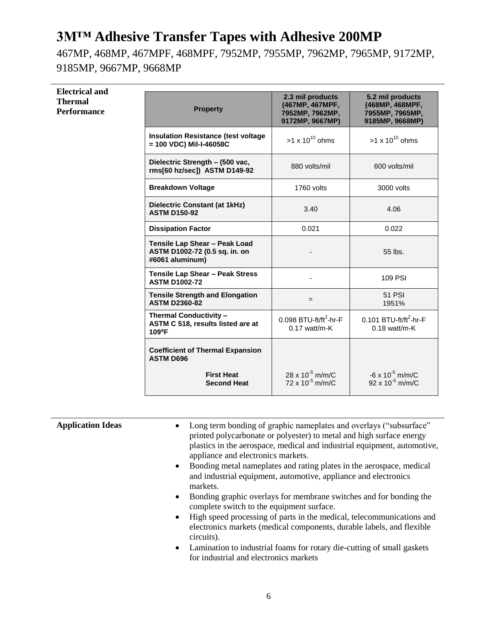467MP, 468MP, 467MPF, 468MPF, 7952MP, 7955MP, 7962MP, 7965MP, 9172MP, 9185MP, 9667MP, 9668MP

#### **Electrical and Thermal Performance**

| <b>Property</b>                                                                   | 2.3 mil products<br>(467MP, 467MPF,<br>7952MP, 7962MP,<br>9172MP, 9667MP) | 5.2 mil products<br>(468MP, 468MPF,<br>7955MP, 7965MP,<br>9185MP, 9668MP) |
|-----------------------------------------------------------------------------------|---------------------------------------------------------------------------|---------------------------------------------------------------------------|
| <b>Insulation Resistance (test voltage</b><br>= 100 VDC) Mil-I-46058C             | $>1 \times 10^{10}$ ohms                                                  | $>1 \times 10^{10}$ ohms                                                  |
| Dielectric Strength - (500 vac,<br>rms[60 hz/sec]) ASTM D149-92                   | 880 volts/mil                                                             | 600 volts/mil                                                             |
| <b>Breakdown Voltage</b>                                                          | 1760 volts                                                                | 3000 volts                                                                |
| <b>Dielectric Constant (at 1kHz)</b><br><b>ASTM D150-92</b>                       | 3.40                                                                      | 4.06                                                                      |
| <b>Dissipation Factor</b>                                                         | 0.021                                                                     | 0.022                                                                     |
| Tensile Lap Shear - Peak Load<br>ASTM D1002-72 (0.5 sq. in. on<br>#6061 aluminum) |                                                                           | 55 lbs.                                                                   |
| Tensile Lap Shear - Peak Stress<br><b>ASTM D1002-72</b>                           |                                                                           | 109 PSI                                                                   |
| <b>Tensile Strength and Elongation</b><br><b>ASTM D2360-82</b>                    | $=$                                                                       | 51 PSI<br>1951%                                                           |
| Thermal Conductivity -<br>ASTM C 518, results listed are at<br>109°F              | 0.098 BTU-ft/ft <sup>2</sup> -hr-F<br>$0.17$ watt/m-K                     | 0.101 BTU-ft/ft <sup>2</sup> -hr-F<br>$0.18$ watt/m-K                     |
| <b>Coefficient of Thermal Expansion</b><br><b>ASTM D696</b>                       |                                                                           |                                                                           |
| <b>First Heat</b><br><b>Second Heat</b>                                           | 28 x $10^{-5}$ m/m/C<br>72 x $10^{-5}$ m/m/C                              | $-6 \times 10^{-5}$ m/m/C<br>$92 \times 10^{-5}$ m/m/C                    |

| <b>Application Ideas</b> | Long term bonding of graphic nameplates and overlays ("subsurface"<br>$\bullet$<br>printed polycarbonate or polyester) to metal and high surface energy<br>plastics in the aerospace, medical and industrial equipment, automotive,<br>appliance and electronics markets. |
|--------------------------|---------------------------------------------------------------------------------------------------------------------------------------------------------------------------------------------------------------------------------------------------------------------------|
|                          | Bonding metal nameplates and rating plates in the aerospace, medical<br>$\bullet$<br>and industrial equipment, automotive, appliance and electronics<br>markets.                                                                                                          |
|                          | Bonding graphic overlays for membrane switches and for bonding the<br>$\bullet$<br>complete switch to the equipment surface.                                                                                                                                              |
|                          | High speed processing of parts in the medical, telecommunications and<br>$\bullet$<br>electronics markets (medical components, durable labels, and flexible<br>circuits).                                                                                                 |
|                          | Lamination to industrial foams for rotary die-cutting of small gaskets<br>$\bullet$<br>for industrial and electronics markets                                                                                                                                             |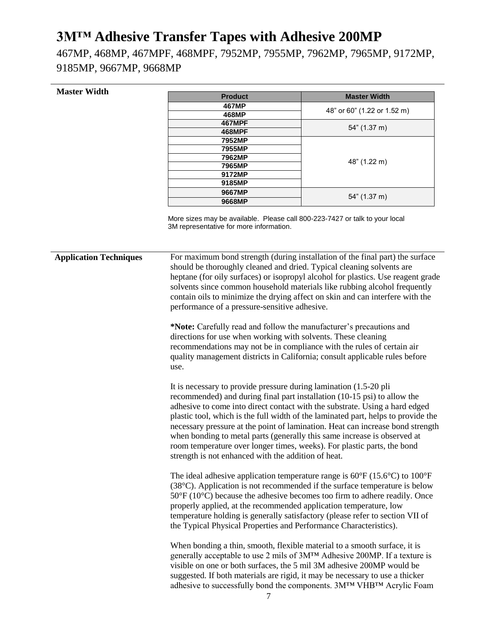467MP, 468MP, 467MPF, 468MPF, 7952MP, 7955MP, 7962MP, 7965MP, 9172MP, 9185MP, 9667MP, 9668MP

#### **Master Width**

| <b>Product</b> | <b>Master Width</b>         |
|----------------|-----------------------------|
| 467MP          | 48" or 60" (1.22 or 1.52 m) |
| 468MP          |                             |
| <b>467MPF</b>  |                             |
| 468MPF         | 54" (1.37 m)                |
| 7952MP         |                             |
| 7955MP         |                             |
| 7962MP         |                             |
| 7965MP         | 48" (1.22 m)                |
| 9172MP         |                             |
| 9185MP         |                             |
| 9667MP         | 54" (1.37 m)                |
| 9668MP         |                             |

More sizes may be available. Please call 800-223-7427 or talk to your local 3M representative for more information.

**Application Techniques** For maximum bond strength (during installation of the final part) the surface should be thoroughly cleaned and dried. Typical cleaning solvents are heptane (for oily surfaces) or isopropyl alcohol for plastics. Use reagent grade solvents since common household materials like rubbing alcohol frequently contain oils to minimize the drying affect on skin and can interfere with the performance of a pressure-sensitive adhesive.

**\*Note:** Carefully read and follow the manufacturer's precautions and directions for use when working with solvents. These cleaning recommendations may not be in compliance with the rules of certain air quality management districts in California; consult applicable rules before use.

It is necessary to provide pressure during lamination (1.5-20 pli recommended) and during final part installation (10-15 psi) to allow the adhesive to come into direct contact with the substrate. Using a hard edged plastic tool, which is the full width of the laminated part, helps to provide the necessary pressure at the point of lamination. Heat can increase bond strength when bonding to metal parts (generally this same increase is observed at room temperature over longer times, weeks). For plastic parts, the bond strength is not enhanced with the addition of heat.

The ideal adhesive application temperature range is 60°F (15.6°C) to 100°F (38°C). Application is not recommended if the surface temperature is below 50°F (10°C) because the adhesive becomes too firm to adhere readily. Once properly applied, at the recommended application temperature, low temperature holding is generally satisfactory (please refer to section VII of the Typical Physical Properties and Performance Characteristics).

When bonding a thin, smooth, flexible material to a smooth surface, it is generally acceptable to use 2 mils of 3M™ Adhesive 200MP. If a texture is visible on one or both surfaces, the 5 mil 3M adhesive 200MP would be suggested. If both materials are rigid, it may be necessary to use a thicker adhesive to successfully bond the components. 3M™ VHB™ Acrylic Foam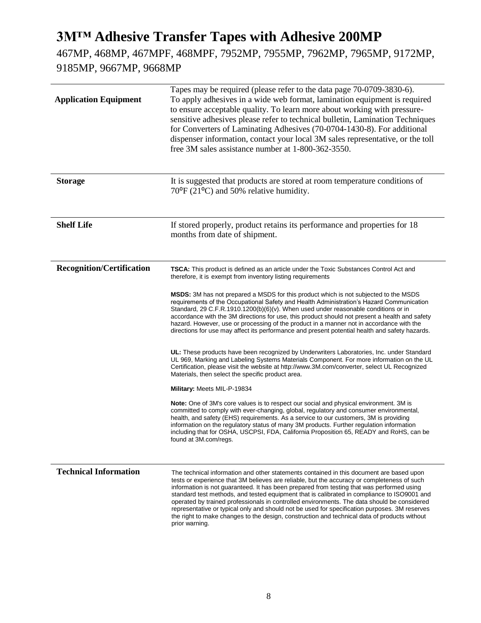467MP, 468MP, 467MPF, 468MPF, 7952MP, 7955MP, 7962MP, 7965MP, 9172MP, 9185MP, 9667MP, 9668MP

| <b>Application Equipment</b>     | Tapes may be required (please refer to the data page 70-0709-3830-6).<br>To apply adhesives in a wide web format, lamination equipment is required<br>to ensure acceptable quality. To learn more about working with pressure-<br>sensitive adhesives please refer to technical bulletin, Lamination Techniques<br>for Converters of Laminating Adhesives (70-0704-1430-8). For additional<br>dispenser information, contact your local 3M sales representative, or the toll<br>free 3M sales assistance number at 1-800-362-3550.                                                                                                                                                                                                                                                                                                                                                                                                                                                                                                                                                                                                                                                                                                                                                                                                                                                                                                                                                                                                                                                                                      |
|----------------------------------|-------------------------------------------------------------------------------------------------------------------------------------------------------------------------------------------------------------------------------------------------------------------------------------------------------------------------------------------------------------------------------------------------------------------------------------------------------------------------------------------------------------------------------------------------------------------------------------------------------------------------------------------------------------------------------------------------------------------------------------------------------------------------------------------------------------------------------------------------------------------------------------------------------------------------------------------------------------------------------------------------------------------------------------------------------------------------------------------------------------------------------------------------------------------------------------------------------------------------------------------------------------------------------------------------------------------------------------------------------------------------------------------------------------------------------------------------------------------------------------------------------------------------------------------------------------------------------------------------------------------------|
| <b>Storage</b>                   | It is suggested that products are stored at room temperature conditions of<br>$70^{\circ}$ F (21 $^{\circ}$ C) and 50% relative humidity.                                                                                                                                                                                                                                                                                                                                                                                                                                                                                                                                                                                                                                                                                                                                                                                                                                                                                                                                                                                                                                                                                                                                                                                                                                                                                                                                                                                                                                                                               |
| <b>Shelf Life</b>                | If stored properly, product retains its performance and properties for 18<br>months from date of shipment.                                                                                                                                                                                                                                                                                                                                                                                                                                                                                                                                                                                                                                                                                                                                                                                                                                                                                                                                                                                                                                                                                                                                                                                                                                                                                                                                                                                                                                                                                                              |
| <b>Recognition/Certification</b> | <b>TSCA:</b> This product is defined as an article under the Toxic Substances Control Act and<br>therefore, it is exempt from inventory listing requirements<br><b>MSDS:</b> 3M has not prepared a MSDS for this product which is not subjected to the MSDS<br>requirements of the Occupational Safety and Health Administration's Hazard Communication<br>Standard, 29 C.F.R.1910.1200(b)(6)(v). When used under reasonable conditions or in<br>accordance with the 3M directions for use, this product should not present a health and safety<br>hazard. However, use or processing of the product in a manner not in accordance with the<br>directions for use may affect its performance and present potential health and safety hazards.<br>UL: These products have been recognized by Underwriters Laboratories, Inc. under Standard<br>UL 969, Marking and Labeling Systems Materials Component. For more information on the UL<br>Certification, please visit the website at http://www.3M.com/converter, select UL Recognized<br>Materials, then select the specific product area.<br>Military: Meets MIL-P-19834<br>Note: One of 3M's core values is to respect our social and physical environment. 3M is<br>committed to comply with ever-changing, global, regulatory and consumer environmental,<br>health, and safety (EHS) requirements. As a service to our customers, 3M is providing<br>information on the regulatory status of many 3M products. Further regulation information<br>including that for OSHA, USCPSI, FDA, California Proposition 65, READY and RoHS, can be<br>found at 3M.com/regs. |
| <b>Technical Information</b>     | The technical information and other statements contained in this document are based upon<br>tests or experience that 3M believes are reliable, but the accuracy or completeness of such<br>information is not guaranteed. It has been prepared from testing that was performed using<br>standard test methods, and tested equipment that is calibrated in compliance to ISO9001 and<br>operated by trained professionals in controlled environments. The data should be considered<br>representative or typical only and should not be used for specification purposes. 3M reserves<br>the right to make changes to the design, construction and technical data of products without<br>prior warning.                                                                                                                                                                                                                                                                                                                                                                                                                                                                                                                                                                                                                                                                                                                                                                                                                                                                                                                   |